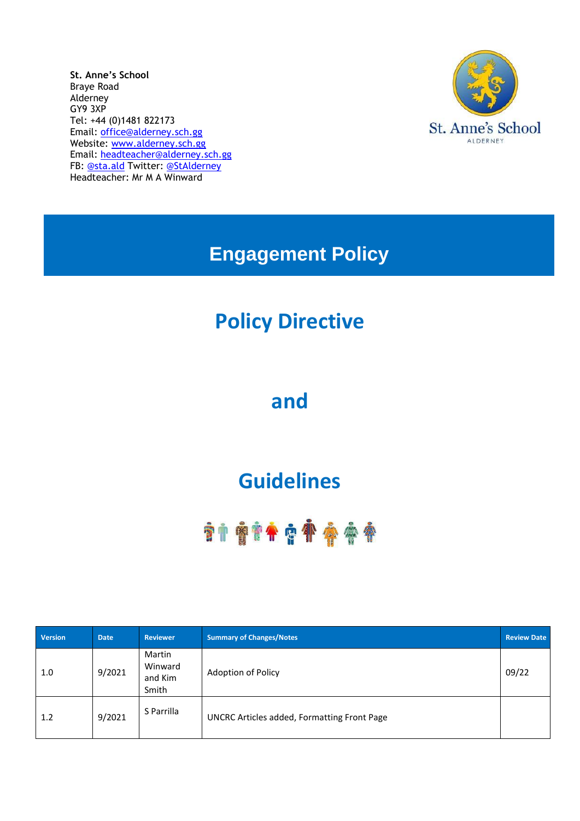**St. Anne's School** Braye Road Alderney GY9 3XP Tel: +44 (0)1481 822173 Email: [office@alderney.sch.gg](mailto:office@alderney.sch.gg) Website: [www.alderney.sch.gg](http://www.alderney.sch.gg/) Email: [headteacher@alderney.sch.gg](mailto:headteacher@alderney.sch.gg) FB: [@sta.ald](https://www.facebook.com/sta.ald/) Twitter: [@StAlderney](https://twitter.com/stalderney?lang=en) Headteacher: Mr M A Winward



**Engagement Policy**

# **Policy Directive**

## **and**

# **Guidelines**

# **\*\*\*\*\*\*\*\*\*\*\*\***

| <b>Version</b> | <b>Date</b> | <b>Reviewer</b>                       | <b>Summary of Changes/Notes</b>                    |       |  |
|----------------|-------------|---------------------------------------|----------------------------------------------------|-------|--|
| 1.0            | 9/2021      | Martin<br>Winward<br>and Kim<br>Smith | Adoption of Policy                                 | 09/22 |  |
| 1.2            | 9/2021      | S Parrilla                            | <b>UNCRC Articles added, Formatting Front Page</b> |       |  |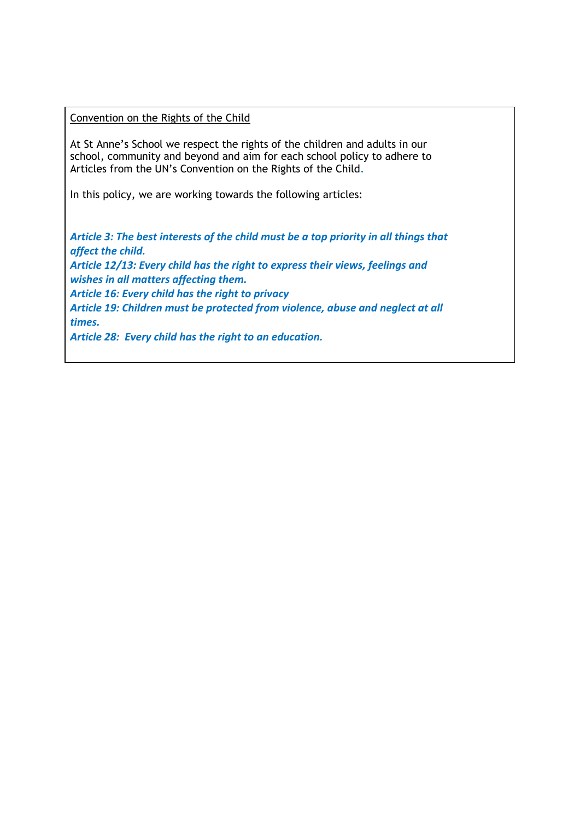Convention on the Rights of the Child

At St Anne's School we respect the rights of the children and adults in our school, community and beyond and aim for each school policy to adhere to Articles from the UN's Convention on the Rights of the Child*.*

In this policy, we are working towards the following articles:

*Article 3: The best interests of the child must be a top priority in all things that affect the child. Article 12/13: Every child has the right to express their views, feelings and wishes in all matters affecting them. Article 16: Every child has the right to privacy Article 19: Children must be protected from violence, abuse and neglect at all times.*

*Article 28: Every child has the right to an education.*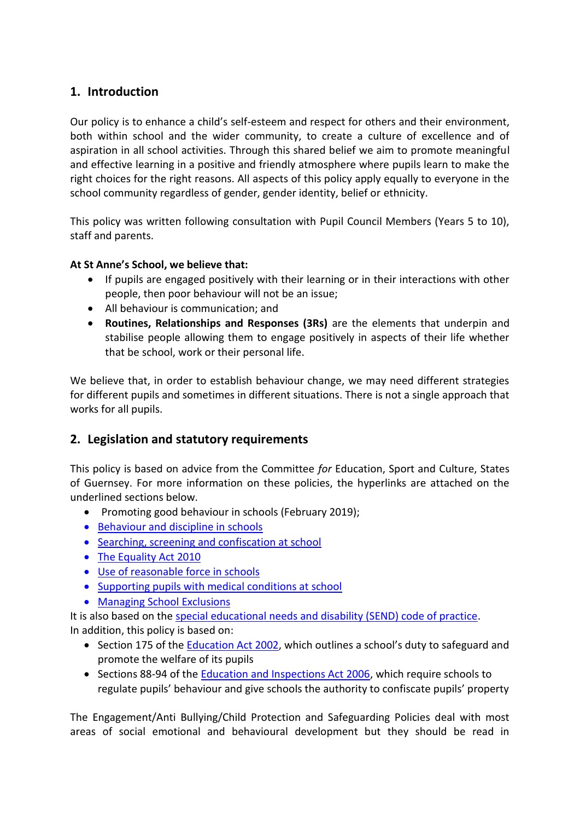### **1. Introduction**

Our policy is to enhance a child's self-esteem and respect for others and their environment, both within school and the wider community, to create a culture of excellence and of aspiration in all school activities. Through this shared belief we aim to promote meaningful and effective learning in a positive and friendly atmosphere where pupils learn to make the right choices for the right reasons. All aspects of this policy apply equally to everyone in the school community regardless of gender, gender identity, belief or ethnicity.

This policy was written following consultation with Pupil Council Members (Years 5 to 10), staff and parents.

#### **At St Anne's School, we believe that:**

- If pupils are engaged positively with their learning or in their interactions with other people, then poor behaviour will not be an issue;
- All behaviour is communication; and
- **Routines, Relationships and Responses (3Rs)** are the elements that underpin and stabilise people allowing them to engage positively in aspects of their life whether that be school, work or their personal life.

We believe that, in order to establish behaviour change, we may need different strategies for different pupils and sometimes in different situations. There is not a single approach that works for all pupils.

### **2. Legislation and statutory requirements**

This policy is based on advice from the Committee *for* Education, Sport and Culture, States of Guernsey. For more information on these policies, the hyperlinks are attached on the underlined sections below.

- Promoting good behaviour in schools (February 2019);
- [Behaviour and discipline in schools](https://www.gov.uk/government/publications/behaviour-and-discipline-in-schools)
- [Searching, screening and confiscation at school](https://www.gov.uk/government/publications/searching-screening-and-confiscation)
- [The Equality Act 2010](https://www.gov.uk/government/publications/equality-act-2010-advice-for-schools)
- [Use of reasonable force in schools](https://www.gov.uk/government/publications/use-of-reasonable-force-in-schools)
- [Supporting pupils with medical conditions at school](https://www.gov.uk/government/publications/supporting-pupils-at-school-with-medical-conditions--3)
- Managing [School](http://bridge/teamsite/education/policies/Exclusions/2017.08.28%20EXCLUSION%20-%20Managing%20School%20Exclusions%20.pdf) [Exclusions](http://bridge/teamsite/education/policies/Exclusions/2017.08.28%20EXCLUSION%20-%20Managing%20School%20Exclusions%20.pdf)

It is also based on the [special educational needs and disability \(SEND\) code of practice.](https://www.gov.uk/government/publications/send-code-of-practice-0-to-25) In addition, this policy is based on:

- Section 175 of the **Education Act 2002**, which outlines a school's duty to safeguard and promote the welfare of its pupils
- Sections 88-94 of the **Education and Inspections Act 2006**, which require schools to regulate pupils' behaviour and give schools the authority to confiscate pupils' property

The Engagement/Anti Bullying/Child Protection and Safeguarding Policies deal with most areas of social emotional and behavioural development but they should be read in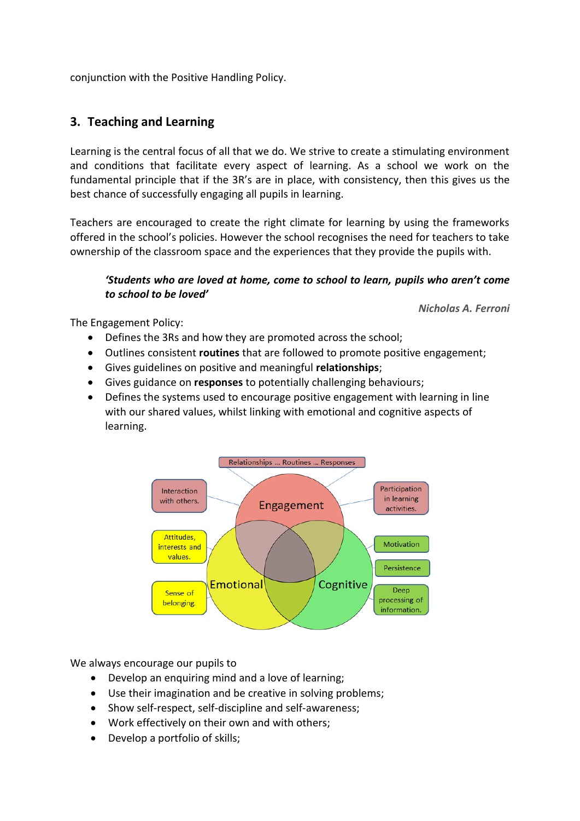conjunction with the Positive Handling Policy.

### **3. Teaching and Learning**

Learning is the central focus of all that we do. We strive to create a stimulating environment and conditions that facilitate every aspect of learning. As a school we work on the fundamental principle that if the 3R's are in place, with consistency, then this gives us the best chance of successfully engaging all pupils in learning.

Teachers are encouraged to create the right climate for learning by using the frameworks offered in the school's policies. However the school recognises the need for teachers to take ownership of the classroom space and the experiences that they provide the pupils with.

#### *'Students who are loved at home, come to school to learn, pupils who aren't come to school to be loved'*

*Nicholas A. Ferroni*

The Engagement Policy:

- Defines the 3Rs and how they are promoted across the school;
- Outlines consistent **routines** that are followed to promote positive engagement;
- Gives guidelines on positive and meaningful **relationships**;
- Gives guidance on **responses** to potentially challenging behaviours;
- Defines the systems used to encourage positive engagement with learning in line with our shared values, whilst linking with emotional and cognitive aspects of learning.



We always encourage our pupils to

- Develop an enquiring mind and a love of learning;
- Use their imagination and be creative in solving problems;
- Show self-respect, self-discipline and self-awareness;
- Work effectively on their own and with others;
- Develop a portfolio of skills;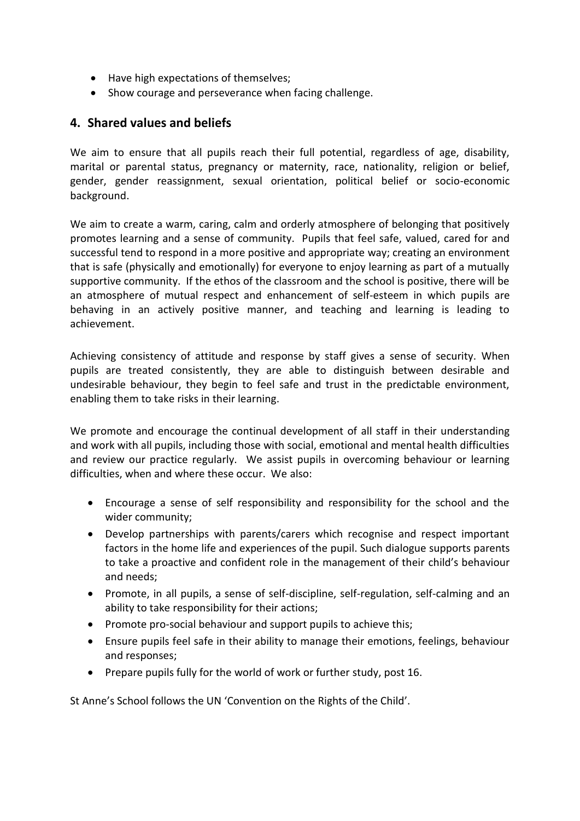- Have high expectations of themselves;
- Show courage and perseverance when facing challenge.

#### **4. Shared values and beliefs**

We aim to ensure that all pupils reach their full potential, regardless of age, disability, marital or parental status, pregnancy or maternity, race, nationality, religion or belief, gender, gender reassignment, sexual orientation, political belief or socio-economic background.

We aim to create a warm, caring, calm and orderly atmosphere of belonging that positively promotes learning and a sense of community. Pupils that feel safe, valued, cared for and successful tend to respond in a more positive and appropriate way; creating an environment that is safe (physically and emotionally) for everyone to enjoy learning as part of a mutually supportive community. If the ethos of the classroom and the school is positive, there will be an atmosphere of mutual respect and enhancement of self-esteem in which pupils are behaving in an actively positive manner, and teaching and learning is leading to achievement.

Achieving consistency of attitude and response by staff gives a sense of security. When pupils are treated consistently, they are able to distinguish between desirable and undesirable behaviour, they begin to feel safe and trust in the predictable environment, enabling them to take risks in their learning.

We promote and encourage the continual development of all staff in their understanding and work with all pupils, including those with social, emotional and mental health difficulties and review our practice regularly. We assist pupils in overcoming behaviour or learning difficulties, when and where these occur. We also:

- Encourage a sense of self responsibility and responsibility for the school and the wider community;
- Develop partnerships with parents/carers which recognise and respect important factors in the home life and experiences of the pupil. Such dialogue supports parents to take a proactive and confident role in the management of their child's behaviour and needs;
- Promote, in all pupils, a sense of self-discipline, self-regulation, self-calming and an ability to take responsibility for their actions;
- Promote pro-social behaviour and support pupils to achieve this:
- Ensure pupils feel safe in their ability to manage their emotions, feelings, behaviour and responses;
- Prepare pupils fully for the world of work or further study, post 16.

St Anne's School follows the UN 'Convention on the Rights of the Child'.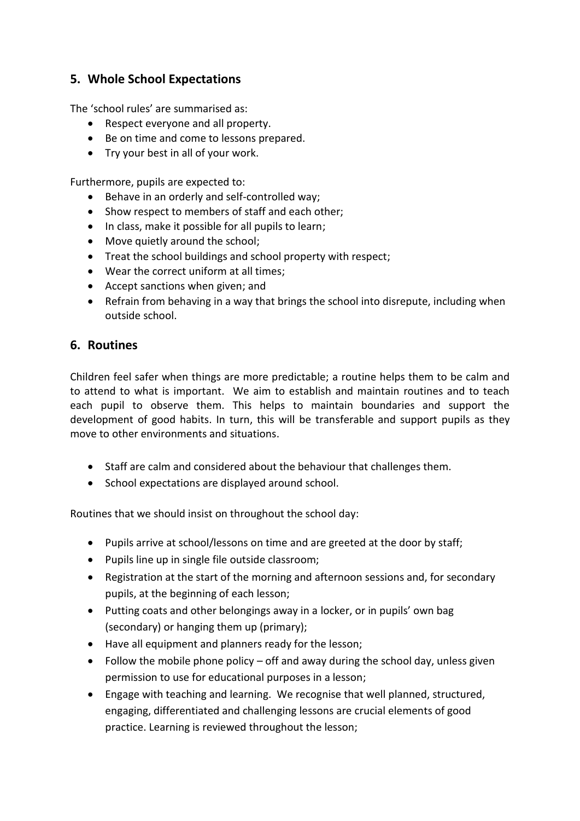### **5. Whole School Expectations**

The 'school rules' are summarised as:

- Respect everyone and all property.
- Be on time and come to lessons prepared.
- Try your best in all of your work.

Furthermore, pupils are expected to:

- Behave in an orderly and self-controlled way;
- Show respect to members of staff and each other;
- In class, make it possible for all pupils to learn;
- Move quietly around the school;
- Treat the school buildings and school property with respect;
- Wear the correct uniform at all times;
- Accept sanctions when given; and
- Refrain from behaving in a way that brings the school into disrepute, including when outside school.

#### **6. Routines**

Children feel safer when things are more predictable; a routine helps them to be calm and to attend to what is important. We aim to establish and maintain routines and to teach each pupil to observe them. This helps to maintain boundaries and support the development of good habits. In turn, this will be transferable and support pupils as they move to other environments and situations.

- Staff are calm and considered about the behaviour that challenges them.
- School expectations are displayed around school.

Routines that we should insist on throughout the school day:

- Pupils arrive at school/lessons on time and are greeted at the door by staff;
- Pupils line up in single file outside classroom;
- Registration at the start of the morning and afternoon sessions and, for secondary pupils, at the beginning of each lesson;
- Putting coats and other belongings away in a locker, or in pupils' own bag (secondary) or hanging them up (primary);
- Have all equipment and planners ready for the lesson;
- Follow the mobile phone policy  $-$  off and away during the school day, unless given permission to use for educational purposes in a lesson;
- Engage with teaching and learning. We recognise that well planned, structured, engaging, differentiated and challenging lessons are crucial elements of good practice. Learning is reviewed throughout the lesson;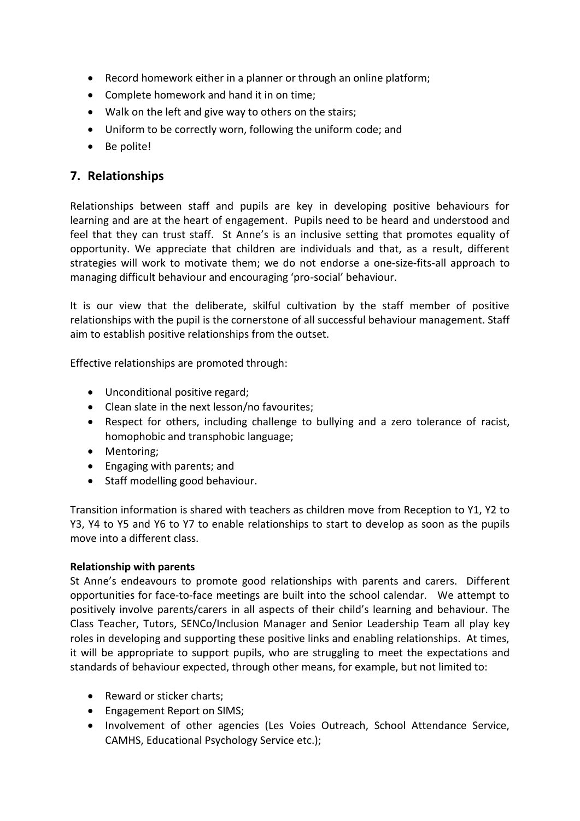- Record homework either in a planner or through an online platform;
- Complete homework and hand it in on time;
- Walk on the left and give way to others on the stairs;
- Uniform to be correctly worn, following the uniform code; and
- Be polite!

#### **7. Relationships**

Relationships between staff and pupils are key in developing positive behaviours for learning and are at the heart of engagement. Pupils need to be heard and understood and feel that they can trust staff. St Anne's is an inclusive setting that promotes equality of opportunity. We appreciate that children are individuals and that, as a result, different strategies will work to motivate them; we do not endorse a one-size-fits-all approach to managing difficult behaviour and encouraging 'pro-social' behaviour.

It is our view that the deliberate, skilful cultivation by the staff member of positive relationships with the pupil is the cornerstone of all successful behaviour management. Staff aim to establish positive relationships from the outset.

Effective relationships are promoted through:

- Unconditional positive regard;
- Clean slate in the next lesson/no favourites;
- Respect for others, including challenge to bullying and a zero tolerance of racist, homophobic and transphobic language;
- Mentoring;
- Engaging with parents; and
- Staff modelling good behaviour.

Transition information is shared with teachers as children move from Reception to Y1, Y2 to Y3, Y4 to Y5 and Y6 to Y7 to enable relationships to start to develop as soon as the pupils move into a different class.

#### **Relationship with parents**

St Anne's endeavours to promote good relationships with parents and carers. Different opportunities for face-to-face meetings are built into the school calendar. We attempt to positively involve parents/carers in all aspects of their child's learning and behaviour. The Class Teacher, Tutors, SENCo/Inclusion Manager and Senior Leadership Team all play key roles in developing and supporting these positive links and enabling relationships. At times, it will be appropriate to support pupils, who are struggling to meet the expectations and standards of behaviour expected, through other means, for example, but not limited to:

- Reward or sticker charts;
- Engagement Report on SIMS:
- Involvement of other agencies (Les Voies Outreach, School Attendance Service, CAMHS, Educational Psychology Service etc.);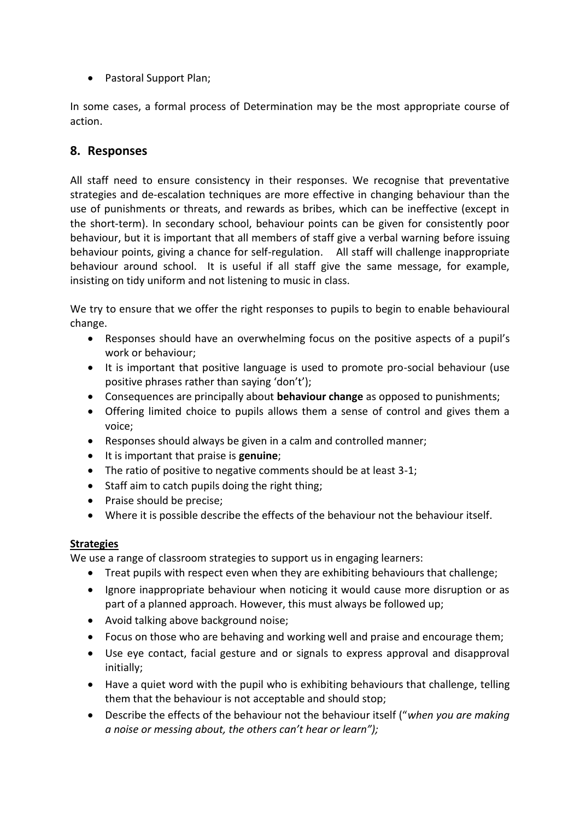• Pastoral Support Plan;

In some cases, a formal process of Determination may be the most appropriate course of action.

#### **8. Responses**

All staff need to ensure consistency in their responses. We recognise that preventative strategies and de-escalation techniques are more effective in changing behaviour than the use of punishments or threats, and rewards as bribes, which can be ineffective (except in the short-term). In secondary school, behaviour points can be given for consistently poor behaviour, but it is important that all members of staff give a verbal warning before issuing behaviour points, giving a chance for self-regulation. All staff will challenge inappropriate behaviour around school. It is useful if all staff give the same message, for example, insisting on tidy uniform and not listening to music in class.

We try to ensure that we offer the right responses to pupils to begin to enable behavioural change.

- Responses should have an overwhelming focus on the positive aspects of a pupil's work or behaviour;
- It is important that positive language is used to promote pro-social behaviour (use positive phrases rather than saying 'don't');
- Consequences are principally about **behaviour change** as opposed to punishments;
- Offering limited choice to pupils allows them a sense of control and gives them a voice;
- Responses should always be given in a calm and controlled manner;
- It is important that praise is **genuine**;
- The ratio of positive to negative comments should be at least 3-1;
- Staff aim to catch pupils doing the right thing;
- Praise should be precise;
- Where it is possible describe the effects of the behaviour not the behaviour itself.

#### **Strategies**

We use a range of classroom strategies to support us in engaging learners:

- Treat pupils with respect even when they are exhibiting behaviours that challenge;
- Ignore inappropriate behaviour when noticing it would cause more disruption or as part of a planned approach. However, this must always be followed up;
- Avoid talking above background noise;
- Focus on those who are behaving and working well and praise and encourage them;
- Use eye contact, facial gesture and or signals to express approval and disapproval initially;
- Have a quiet word with the pupil who is exhibiting behaviours that challenge, telling them that the behaviour is not acceptable and should stop;
- Describe the effects of the behaviour not the behaviour itself ("*when you are making a noise or messing about, the others can't hear or learn");*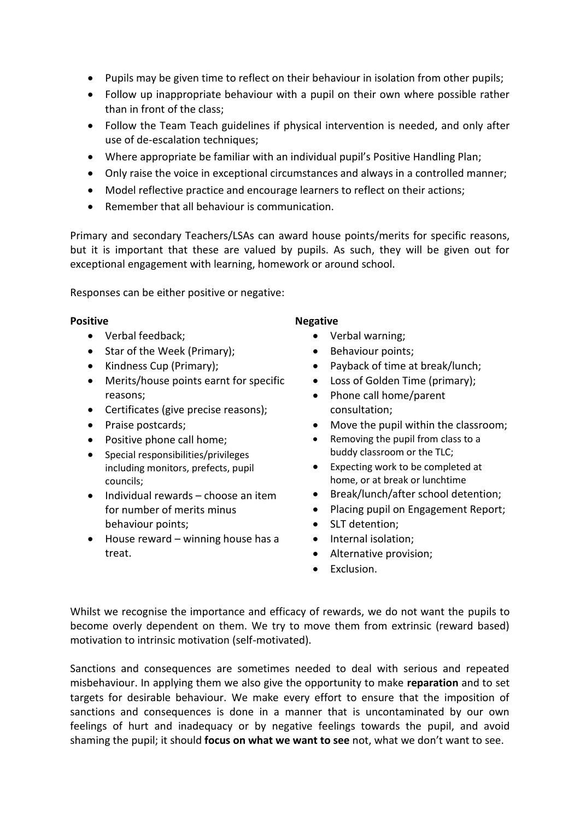- Pupils may be given time to reflect on their behaviour in isolation from other pupils;
- Follow up inappropriate behaviour with a pupil on their own where possible rather than in front of the class;
- Follow the Team Teach guidelines if physical intervention is needed, and only after use of de-escalation techniques;
- Where appropriate be familiar with an individual pupil's Positive Handling Plan;
- Only raise the voice in exceptional circumstances and always in a controlled manner;
- Model reflective practice and encourage learners to reflect on their actions;
- Remember that all behaviour is communication.

Primary and secondary Teachers/LSAs can award house points/merits for specific reasons, but it is important that these are valued by pupils. As such, they will be given out for exceptional engagement with learning, homework or around school.

Responses can be either positive or negative:

- Verbal feedback;
- Star of the Week (Primary);
- Kindness Cup (Primary);
- Merits/house points earnt for specific reasons;
- Certificates (give precise reasons);
- Praise postcards;
- Positive phone call home;
- Special responsibilities/privileges including monitors, prefects, pupil councils;
- $\bullet$  Individual rewards choose an item for number of merits minus behaviour points;
- $\bullet$  House reward winning house has a treat.

#### **Positive Negative Negative**

- Verbal warning;
- Behaviour points;
- Payback of time at break/lunch;
- Loss of Golden Time (primary);
- Phone call home/parent consultation;
- Move the pupil within the classroom;
- Removing the pupil from class to a buddy classroom or the TLC;
- Expecting work to be completed at home, or at break or lunchtime
- Break/lunch/after school detention;
- Placing pupil on Engagement Report;
- SLT detention;
- Internal isolation:
- Alternative provision;
- Exclusion.

Whilst we recognise the importance and efficacy of rewards, we do not want the pupils to become overly dependent on them. We try to move them from extrinsic (reward based) motivation to intrinsic motivation (self-motivated).

Sanctions and consequences are sometimes needed to deal with serious and repeated misbehaviour. In applying them we also give the opportunity to make **reparation** and to set targets for desirable behaviour. We make every effort to ensure that the imposition of sanctions and consequences is done in a manner that is uncontaminated by our own feelings of hurt and inadequacy or by negative feelings towards the pupil, and avoid shaming the pupil; it should **focus on what we want to see** not, what we don't want to see.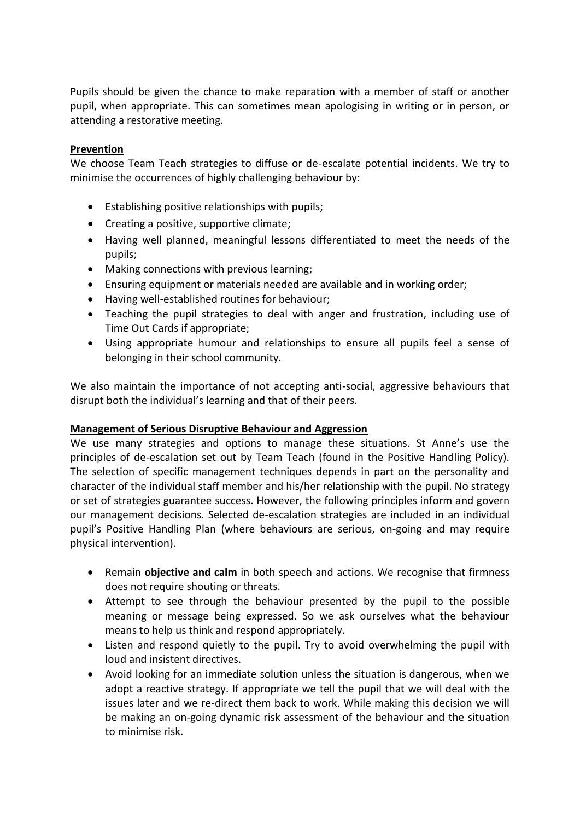Pupils should be given the chance to make reparation with a member of staff or another pupil, when appropriate. This can sometimes mean apologising in writing or in person, or attending a restorative meeting.

#### **Prevention**

We choose Team Teach strategies to diffuse or de-escalate potential incidents. We try to minimise the occurrences of highly challenging behaviour by:

- Establishing positive relationships with pupils;
- Creating a positive, supportive climate;
- Having well planned, meaningful lessons differentiated to meet the needs of the pupils;
- Making connections with previous learning;
- Ensuring equipment or materials needed are available and in working order;
- Having well-established routines for behaviour;
- Teaching the pupil strategies to deal with anger and frustration, including use of Time Out Cards if appropriate;
- Using appropriate humour and relationships to ensure all pupils feel a sense of belonging in their school community.

We also maintain the importance of not accepting anti-social, aggressive behaviours that disrupt both the individual's learning and that of their peers.

#### **Management of Serious Disruptive Behaviour and Aggression**

We use many strategies and options to manage these situations. St Anne's use the principles of de-escalation set out by Team Teach (found in the Positive Handling Policy). The selection of specific management techniques depends in part on the personality and character of the individual staff member and his/her relationship with the pupil. No strategy or set of strategies guarantee success. However, the following principles inform and govern our management decisions. Selected de-escalation strategies are included in an individual pupil's Positive Handling Plan (where behaviours are serious, on-going and may require physical intervention).

- Remain **objective and calm** in both speech and actions. We recognise that firmness does not require shouting or threats.
- Attempt to see through the behaviour presented by the pupil to the possible meaning or message being expressed. So we ask ourselves what the behaviour means to help us think and respond appropriately.
- Listen and respond quietly to the pupil. Try to avoid overwhelming the pupil with loud and insistent directives.
- Avoid looking for an immediate solution unless the situation is dangerous, when we adopt a reactive strategy. If appropriate we tell the pupil that we will deal with the issues later and we re-direct them back to work. While making this decision we will be making an on-going dynamic risk assessment of the behaviour and the situation to minimise risk.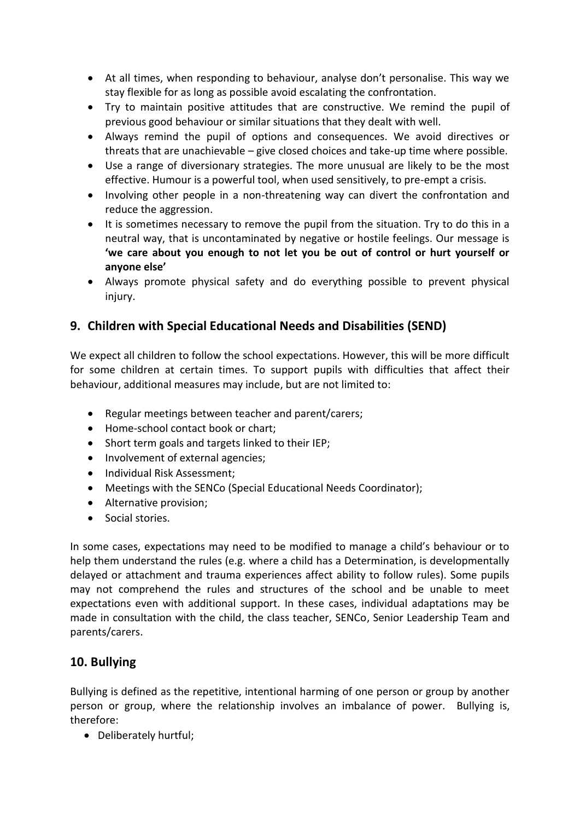- At all times, when responding to behaviour, analyse don't personalise. This way we stay flexible for as long as possible avoid escalating the confrontation.
- Try to maintain positive attitudes that are constructive. We remind the pupil of previous good behaviour or similar situations that they dealt with well.
- Always remind the pupil of options and consequences. We avoid directives or threats that are unachievable – give closed choices and take-up time where possible.
- Use a range of diversionary strategies. The more unusual are likely to be the most effective. Humour is a powerful tool, when used sensitively, to pre-empt a crisis.
- Involving other people in a non-threatening way can divert the confrontation and reduce the aggression.
- It is sometimes necessary to remove the pupil from the situation. Try to do this in a neutral way, that is uncontaminated by negative or hostile feelings. Our message is **'we care about you enough to not let you be out of control or hurt yourself or anyone else'**
- Always promote physical safety and do everything possible to prevent physical injury.

#### **9. Children with Special Educational Needs and Disabilities (SEND)**

We expect all children to follow the school expectations. However, this will be more difficult for some children at certain times. To support pupils with difficulties that affect their behaviour, additional measures may include, but are not limited to:

- Regular meetings between teacher and parent/carers;
- Home-school contact book or chart;
- Short term goals and targets linked to their IEP;
- Involvement of external agencies;
- Individual Risk Assessment:
- Meetings with the SENCo (Special Educational Needs Coordinator);
- Alternative provision;
- Social stories.

In some cases, expectations may need to be modified to manage a child's behaviour or to help them understand the rules (e.g. where a child has a Determination, is developmentally delayed or attachment and trauma experiences affect ability to follow rules). Some pupils may not comprehend the rules and structures of the school and be unable to meet expectations even with additional support. In these cases, individual adaptations may be made in consultation with the child, the class teacher, SENCo, Senior Leadership Team and parents/carers.

#### **10. Bullying**

Bullying is defined as the repetitive, intentional harming of one person or group by another person or group, where the relationship involves an imbalance of power. Bullying is, therefore:

Deliberately hurtful;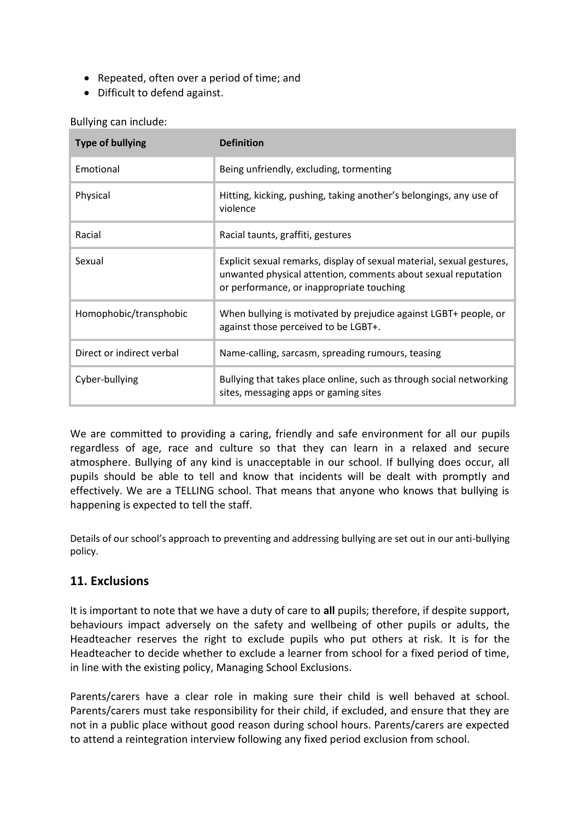- Repeated, often over a period of time; and
- Difficult to defend against.

| <b>Type of bullying</b>   | <b>Definition</b>                                                                                                                                                                   |  |  |
|---------------------------|-------------------------------------------------------------------------------------------------------------------------------------------------------------------------------------|--|--|
| Emotional                 | Being unfriendly, excluding, tormenting                                                                                                                                             |  |  |
| Physical                  | Hitting, kicking, pushing, taking another's belongings, any use of<br>violence                                                                                                      |  |  |
| Racial                    | Racial taunts, graffiti, gestures                                                                                                                                                   |  |  |
| Sexual                    | Explicit sexual remarks, display of sexual material, sexual gestures,<br>unwanted physical attention, comments about sexual reputation<br>or performance, or inappropriate touching |  |  |
| Homophobic/transphobic    | When bullying is motivated by prejudice against LGBT+ people, or<br>against those perceived to be LGBT+.                                                                            |  |  |
| Direct or indirect verbal | Name-calling, sarcasm, spreading rumours, teasing                                                                                                                                   |  |  |
| Cyber-bullying            | Bullying that takes place online, such as through social networking<br>sites, messaging apps or gaming sites                                                                        |  |  |

We are committed to providing a caring, friendly and safe environment for all our pupils regardless of age, race and culture so that they can learn in a relaxed and secure atmosphere. Bullying of any kind is unacceptable in our school. If bullying does occur, all pupils should be able to tell and know that incidents will be dealt with promptly and effectively. We are a TELLING school. That means that anyone who knows that bullying is happening is expected to tell the staff.

Details of our school's approach to preventing and addressing bullying are set out in our anti-bullying policy.

#### **11. Exclusions**

It is important to note that we have a duty of care to **all** pupils; therefore, if despite support, behaviours impact adversely on the safety and wellbeing of other pupils or adults, the Headteacher reserves the right to exclude pupils who put others at risk. It is for the Headteacher to decide whether to exclude a learner from school for a fixed period of time, in line with the existing policy, Managing School Exclusions.

Parents/carers have a clear role in making sure their child is well behaved at school. Parents/carers must take responsibility for their child, if excluded, and ensure that they are not in a public place without good reason during school hours. Parents/carers are expected to attend a reintegration interview following any fixed period exclusion from school.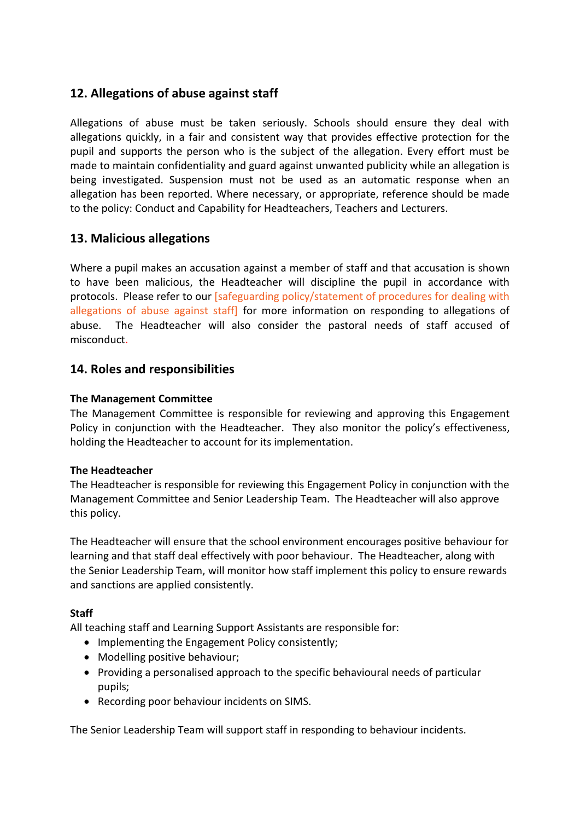#### **12. Allegations of abuse against staff**

Allegations of abuse must be taken seriously. Schools should ensure they deal with allegations quickly, in a fair and consistent way that provides effective protection for the pupil and supports the person who is the subject of the allegation. Every effort must be made to maintain confidentiality and guard against unwanted publicity while an allegation is being investigated. Suspension must not be used as an automatic response when an allegation has been reported. Where necessary, or appropriate, reference should be made to the policy: Conduct and Capability for Headteachers, Teachers and Lecturers.

#### **13. Malicious allegations**

Where a pupil makes an accusation against a member of staff and that accusation is shown to have been malicious, the Headteacher will discipline the pupil in accordance with protocols. Please refer to our [safeguarding policy/statement of procedures for dealing with allegations of abuse against staff] for more information on responding to allegations of abuse. The Headteacher will also consider the pastoral needs of staff accused of misconduct.

#### **14. Roles and responsibilities**

#### **The Management Committee**

The Management Committee is responsible for reviewing and approving this Engagement Policy in conjunction with the Headteacher. They also monitor the policy's effectiveness, holding the Headteacher to account for its implementation.

#### **The Headteacher**

The Headteacher is responsible for reviewing this Engagement Policy in conjunction with the Management Committee and Senior Leadership Team. The Headteacher will also approve this policy.

The Headteacher will ensure that the school environment encourages positive behaviour for learning and that staff deal effectively with poor behaviour. The Headteacher, along with the Senior Leadership Team, will monitor how staff implement this policy to ensure rewards and sanctions are applied consistently.

#### **Staff**

All teaching staff and Learning Support Assistants are responsible for:

- Implementing the Engagement Policy consistently;
- Modelling positive behaviour;
- Providing a personalised approach to the specific behavioural needs of particular pupils;
- Recording poor behaviour incidents on SIMS.

The Senior Leadership Team will support staff in responding to behaviour incidents.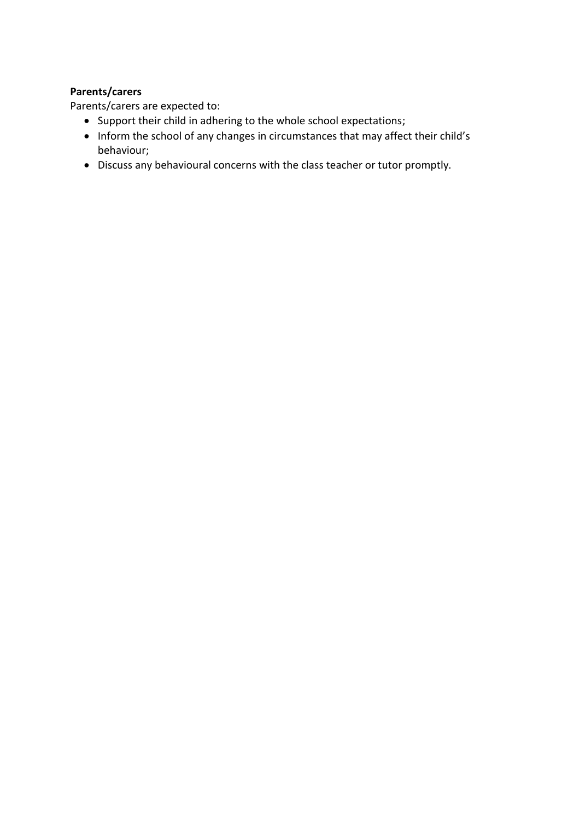#### **Parents/carers**

Parents/carers are expected to:

- Support their child in adhering to the whole school expectations;
- Inform the school of any changes in circumstances that may affect their child's behaviour;
- Discuss any behavioural concerns with the class teacher or tutor promptly.